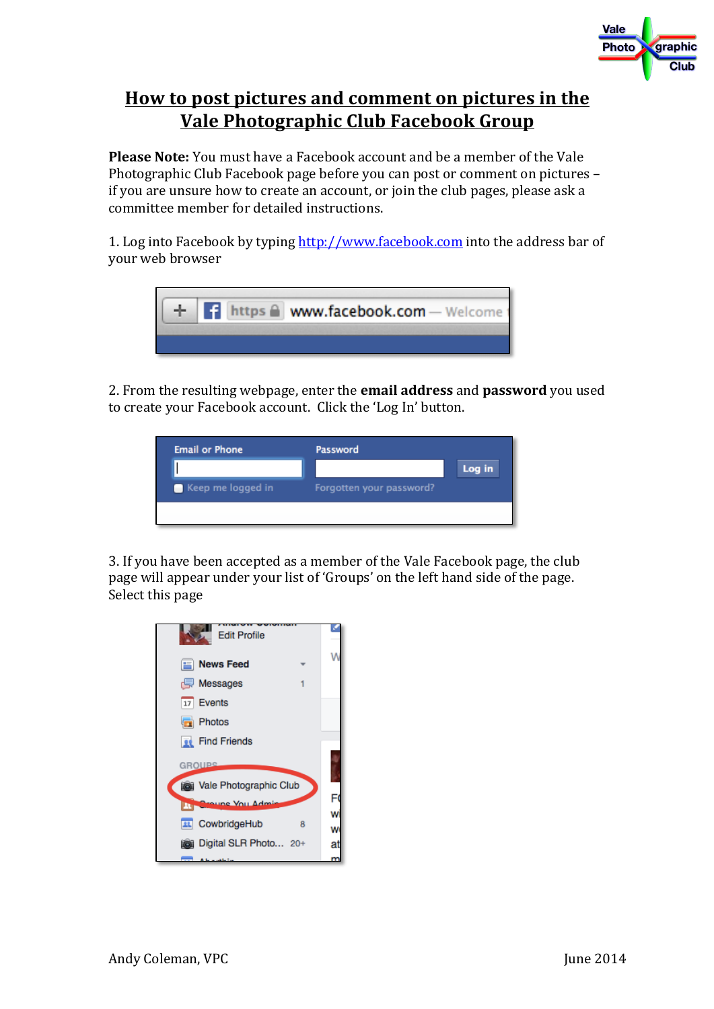

## **How to post pictures and comment on pictures in the <u>Vale Photographic Club Facebook Group</u>**

**Please Note:** You must have a Facebook account and be a member of the Vale Photographic Club Facebook page before you can post or comment on pictures – if you are unsure how to create an account, or join the club pages, please ask a committee member for detailed instructions.

1. Log into Facebook by typing http://www.facebook.com into the address bar of your web browser



2. From the resulting webpage, enter the **email address** and **password** you used to create your Facebook account. Click the 'Log In' button.



3. If you have been accepted as a member of the Vale Facebook page, the club page will appear under your list of 'Groups' on the left hand side of the page. Select this page

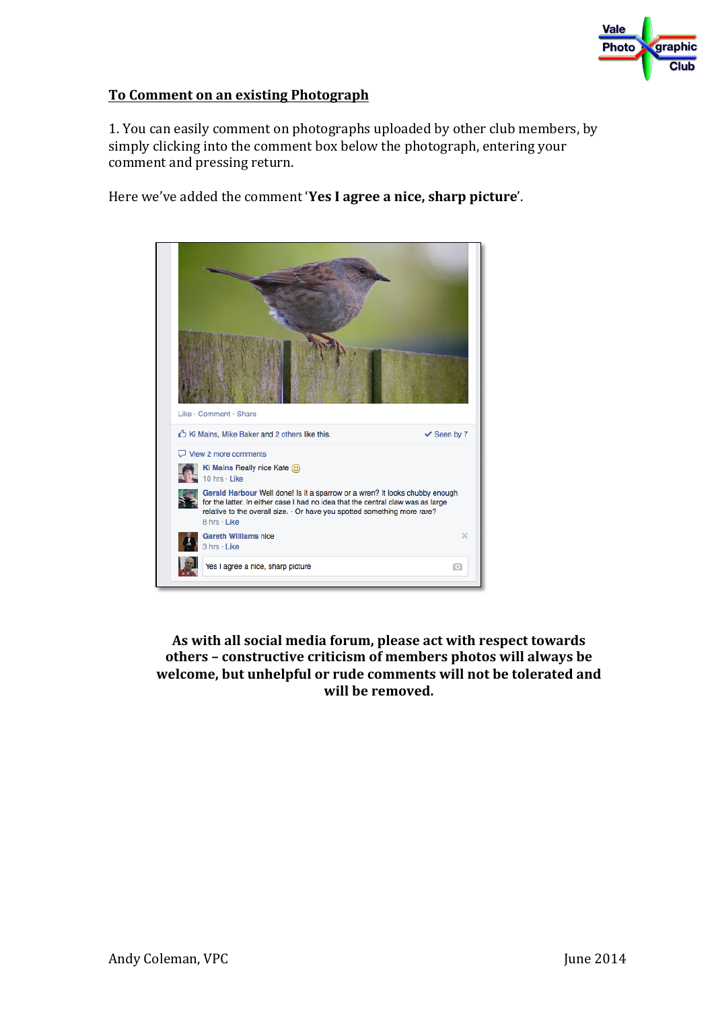

## **To Comment on an existing Photograph**

1. You can easily comment on photographs uploaded by other club members, by simply clicking into the comment box below the photograph, entering your comment and pressing return.

Here we've added the comment 'Yes I agree a nice, sharp picture'.



As with all social media forum, please act with respect towards others - constructive criticism of members photos will always be welcome, but unhelpful or rude comments will not be tolerated and will be removed.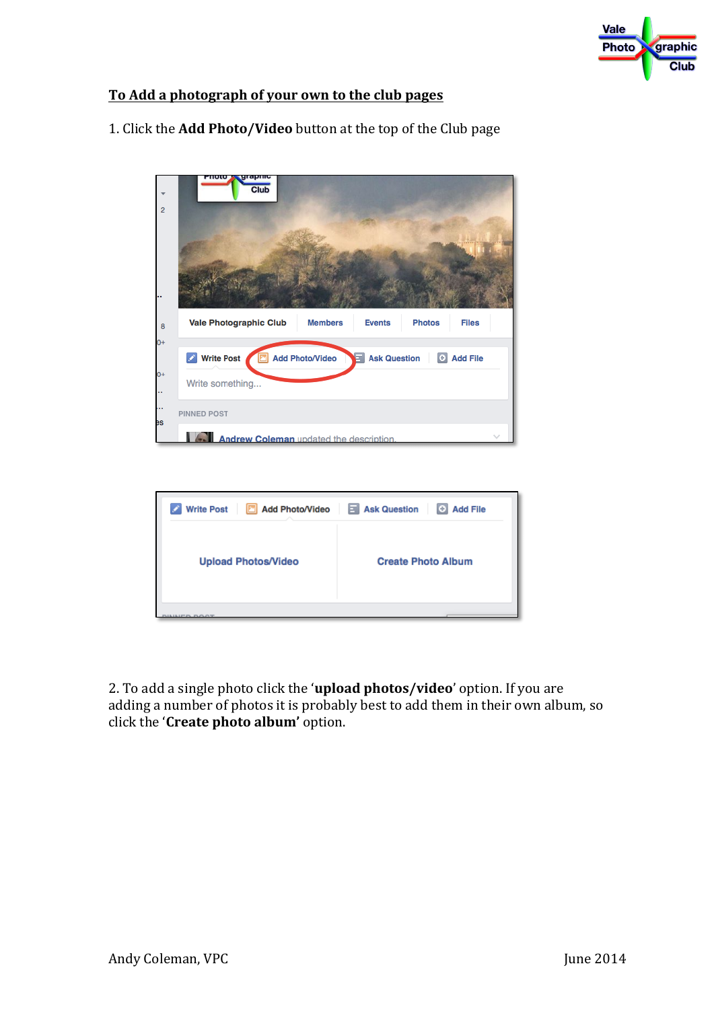

## To Add a photograph of your own to the club pages

| ÷              | grapme<br>ποιο<br>Club                                                                            |  |  |  |  |
|----------------|---------------------------------------------------------------------------------------------------|--|--|--|--|
| $\overline{2}$ |                                                                                                   |  |  |  |  |
|                |                                                                                                   |  |  |  |  |
| 8              | <b>Vale Photographic Club</b><br><b>Members</b><br><b>Events</b><br><b>Photos</b><br><b>Files</b> |  |  |  |  |
| $0+$           |                                                                                                   |  |  |  |  |
|                | <b>Write Post</b><br>Add Photo/Video<br>Ask Question + Add File                                   |  |  |  |  |
| $0+$           | Write something                                                                                   |  |  |  |  |
| es             | PINNED POST                                                                                       |  |  |  |  |
|                | Andrew Coleman updated the description.                                                           |  |  |  |  |
|                |                                                                                                   |  |  |  |  |

1. Click the **Add Photo/Video** button at the top of the Club page



2. To add a single photo click the '**upload photos/video**' option. If you are adding a number of photos it is probably best to add them in their own album, so click the '**Create photo album'** option.